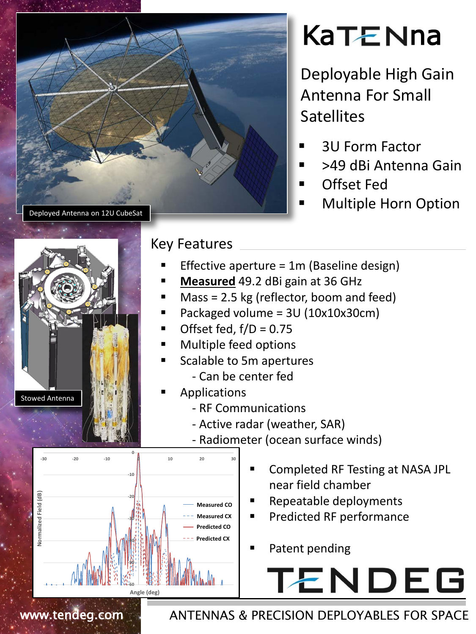

## **KaTENna**

Deployable High Gain Antenna For Small **Satellites** 

- 3U Form Factor
- >49 dBi Antenna Gain
- Offset Fed
- Multiple Horn Option



## Key Features

- Effective aperture = 1m (Baseline design)
- **Measured** 49.2 dBi gain at 36 GHz
- Mass = 2.5 kg (reflector, boom and feed)
- Packaged volume = 3U (10x10x30cm)
- Offset fed,  $f/D = 0.75$
- Multiple feed options
- Scalable to 5m apertures
	- Can be center fed
- Applications
	- RF Communications
	- Active radar (weather, SAR)
	- Radiometer (ocean surface winds)



- Completed RF Testing at NASA JPL near field chamber
- Repeatable deployments
- Predicted RF performance
- Patent pending





www.tendeg.com ANTENNAS & PRECISION DEPLOYABLES FOR SPACE